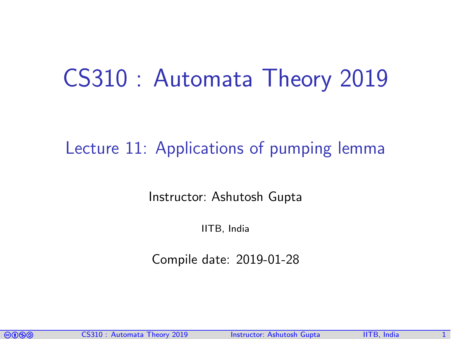# CS310 : Automata Theory 2019

#### Lecture 11: Applications of pumping lemma

Instructor: [Ashutosh Gupta](http://www.cse.iitb.ac.in/~akg/)

IITB, India

Compile date: 2019-01-28

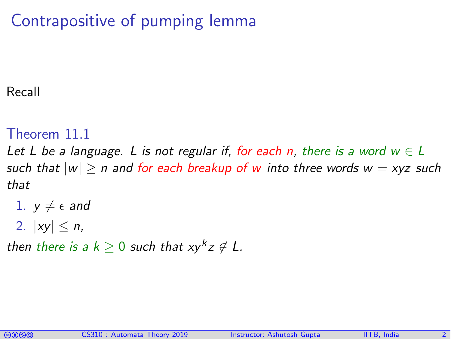# Contrapositive of pumping lemma

#### Recall

#### Theorem 11.1

Let L be a language. L is not regular if, for each n, there is a word  $w \in L$ such that  $|w| \ge n$  and for each breakup of w into three words  $w = xyz$  such that

- 1.  $y \neq \epsilon$  and
- 2.  $|xy| \le n$ ,

then there is a  $k\geq 0$  such that  $xy^kz\not\in L$ .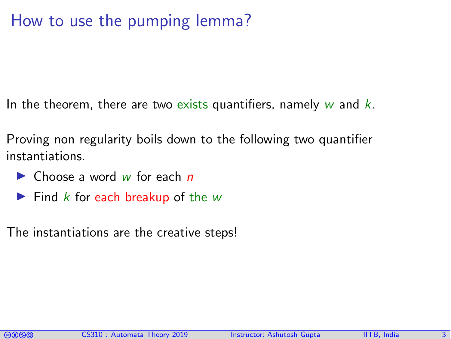#### How to use the pumping lemma?

In the theorem, there are two exists quantifiers, namely  $w$  and  $k$ .

Proving non regularity boils down to the following two quantifier instantiations.

- $\blacktriangleright$  Choose a word w for each n
- $\blacktriangleright$  Find k for each breakup of the w

The instantiations are the creative steps!

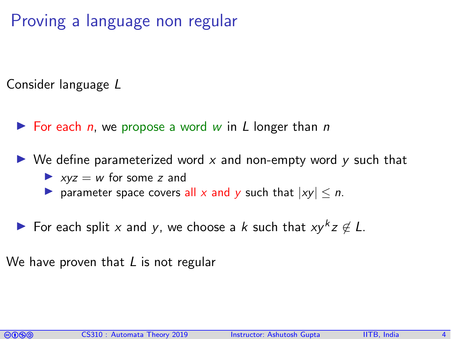## Proving a language non regular

Consider language L

- $\triangleright$  For each *n*, we propose a word w in L longer than *n*
- $\triangleright$  We define parameterized word x and non-empty word y such that  $\triangleright$  xyz = w for some z and
	- **D** parameter space covers all x and y such that  $|xv| \le n$ .
- For each split x and y, we choose a k such that  $xy^k z \notin L$ .

We have proven that  $L$  is not regular

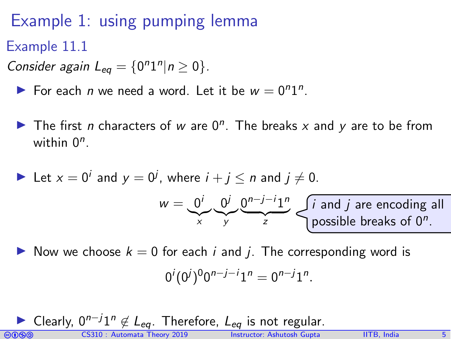Example 1: using pumping lemma

Example 11.1

Consider again  $L_{eq} = \{0^n 1^n | n \ge 0\}$ .

For each *n* we need a word. Let it be  $w = 0^n1^n$ .

The first *n* characters of w are  $0^n$ . The breaks x and y are to be from within  $0^n$ .

Let 
$$
x = 0^i
$$
 and  $y = 0^j$ , where  $i + j \le n$  and  $j \ne 0$ .  
\n
$$
w = \underbrace{0^i}_{x} \underbrace{0^j}_{y} \underbrace{0^{n-j-i}1^n}_{z}
$$
 *is* and *j* are encoding all possible breaks of 0<sup>n</sup>.

Now we choose  $k = 0$  for each i and j. The corresponding word is

$$
0^i (0^j)^0 0^{n-j-i} 1^n = 0^{n-j} 1^n.
$$

comata Theory 2019 Instructor: [Ashutosh Gupta](http://www.cse.iitb.ac.in/~akg/) IITB, India 5 ► Clearly,  $0^{n-j}1^n \notin L_{eq}$ . Therefore,  $L_{eq}$  is not regular.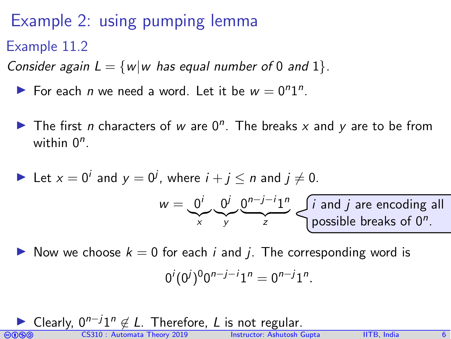## Example 2: using pumping lemma

Example 11.2

Consider again  $L = \{w|w$  has equal number of 0 and 1 $\}$ .

- For each *n* we need a word. Let it be  $w = 0^n1^n$ .
- The first *n* characters of w are  $0^n$ . The breaks x and y are to be from within  $0^n$ .

Let 
$$
x = 0^i
$$
 and  $y = 0^j$ , where  $i + j \le n$  and  $j \ne 0$ .  
\n
$$
w = \underbrace{0^i}_{x} \underbrace{0^j}_{y} \underbrace{0^{n-j-i}1^n}_{z}
$$
  $\underbrace{i \text{ and } j \text{ are encoding all possible breaks of } 0^n}_{\text{possible breaks of } 0^n}$ .

Now we choose  $k = 0$  for each i and j. The corresponding word is

$$
0^i (0^j)^0 0^{n-j-i} 1^n = 0^{n-j} 1^n.
$$

coma CS310 : Automata Theory 2019 Instructor: [Ashutosh Gupta](http://www.cse.iitb.ac.in/~akg/) IITB, India 6 ► Clearly,  $0^{n-j}1^n \notin L$ . Therefore, L is not regular.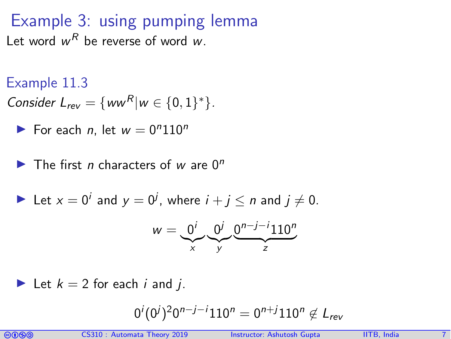Example 3: using pumping lemma Let word  $w^R$  be reverse of word  $w$ .

Example 11.3

Consider 
$$
L_{rev} = \{ww^R | w \in \{0,1\}^*\}.
$$

$$
\blacktriangleright
$$
 For each *n*, let  $w = 0^n 110^n$ 

 $\blacktriangleright$  The first *n* characters of w are  $0^n$ 

Let 
$$
x = 0^i
$$
 and  $y = 0^j$ , where  $i + j \le n$  and  $j \ne 0$ .

$$
w=\underbrace{0^i}_{x}\underbrace{0^j}_{y}\underbrace{0^{n-j-i}110^n}_{z}
$$

Let 
$$
k = 2
$$
 for each *i* and *j*.

$$
0^i (0^j)^2 0^{n-j-i} 110^n = 0^{n+j} 110^n \not\in L_{rev}
$$

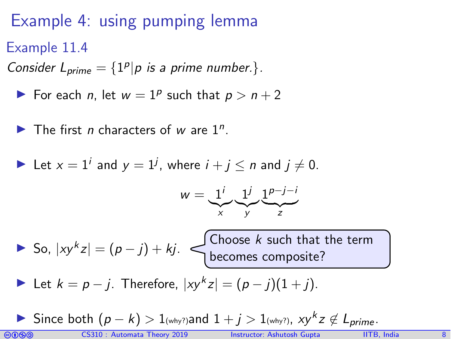# Example 4: using pumping lemma

Example 11.4

Consider  $L_{prime} = \{1^p | p$  is a prime number.}.

- For each *n*, let  $w = 1^p$  such that  $p > n + 2$
- The first *n* characters of *w* are  $1^n$ .

Let 
$$
x = 1^i
$$
 and  $y = 1^j$ , where  $i + j \le n$  and  $j \ne 0$ .

$$
w = \underbrace{1^i}_{x} \underbrace{1^j}_{y} \underbrace{1^{p-j-i}}_{z}
$$

So,  $|xy^k z| = (p - j) + kj$ . Choose k such that the term becomes composite?

Let  $k = p - j$ . Therefore,  $|xy^k z| = (p - j)(1 + j)$ .

**I** Since both  $(p - k) > 1$ <sub>(why?)</sub> and  $1 + j > 1$ <sub>(why?)</sub>,  $xy^kz \notin L_{prime}$ .

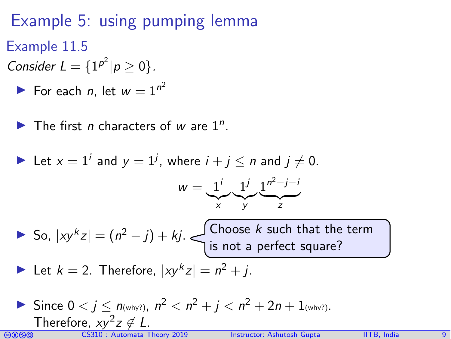# Example 5: using pumping lemma

- Example 11.5
- Consider  $L = \{1^{p^2} | p \ge 0\}.$ 
	- For each *n*, let  $w = 1^{n^2}$
	- The first *n* characters of *w* are  $1^n$ .

Let 
$$
x = 1^i
$$
 and  $y = 1^j$ , where  $i + j \le n$  and  $j \ne 0$ .

$$
w=\underbrace{1^i}_{x}\underbrace{1^j}_{y}\underbrace{1^{n^2-j-i}}_{z}
$$

► So,  $|xy^k z| = (n^2 - j) + kj$ . Choose k such that the term is not a perfect square?

Let 
$$
k = 2
$$
. Therefore,  $|xy^k z| = n^2 + j$ .

Since  $0 < j \le n$ <sub>(why?)</sub>,  $n^2 < n^2 + j < n^2 + 2n + 1$ <sub>(why?)</sub>. Therefore,  $xy^2z \notin L$ .

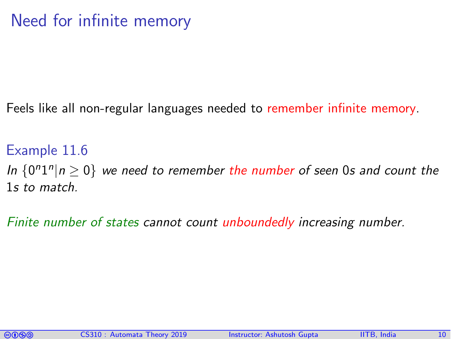## Need for infinite memory

Feels like all non-regular languages needed to remember infinite memory.

Example 11.6

In  ${0^n1^n | n \ge 0}$  we need to remember the number of seen 0s and count the 1s to match.

Finite number of states cannot count unboundedly increasing number.

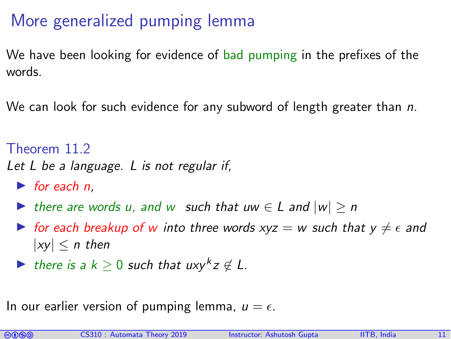## More generalized pumping lemma

We have been looking for evidence of bad pumping in the prefixes of the words.

We can look for such evidence for any subword of length greater than  $n$ .

Theorem 11.2

Let L be a language. L is not regular if,

- $\blacktriangleright$  for each n.
- In there are words u, and w such that uw  $\in$  L and  $|w| \ge n$
- If for each breakup of w into three words  $xyz = w$  such that  $y \neq \epsilon$  and  $|xv| < n$  then
- **►** there is a  $k \geq 0$  such that  $uxy^k z \notin L$ .

In our earlier version of pumping lemma,  $u = \epsilon$ .

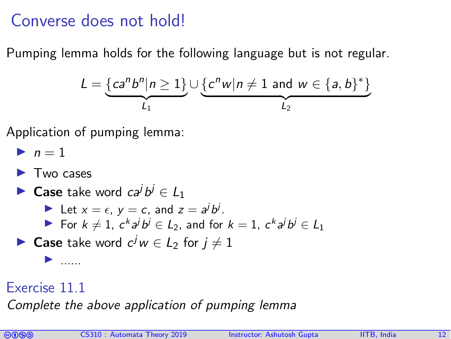#### Converse does not hold!

Pumping lemma holds for the following language but is not regular.

$$
L = \underbrace{\{ca^n b^n | n \geq 1\}}_{L_1} \cup \underbrace{\{c^n w | n \neq 1 \text{ and } w \in \{a, b\}^*\}}_{L_2}
$$

Application of pumping lemma:

$$
\blacktriangleright n=1
$$

- $\blacktriangleright$  Two cases
- **Case** take word  $ca^j b^j \in L_1$ 
	- Let  $x = \epsilon$ ,  $y = c$ , and  $z = a^j b^j$ .
	- For  $k \neq 1$ ,  $c^k a^j b^j \in L_2$ , and for  $k = 1$ ,  $c^k a^j b^j \in L_1$

► Case take word  $c^jw \in L_2$  for  $j \neq 1$ 

#### Exercise 11.1

I ......

Complete the above application of pumping lemma